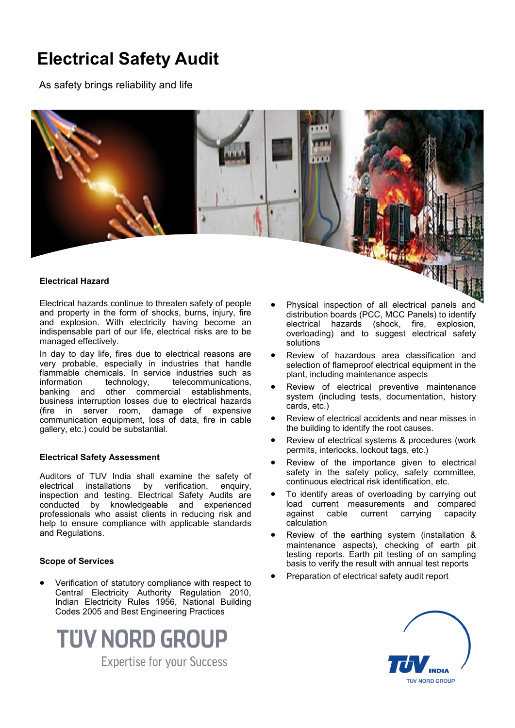# **Electrical Safety Audit**

As safety brings reliability and life



Electrical hazards continue to threaten safety of people and property in the form of shocks, burns, injury, fire and explosion. With electricity having become an indispensable part of our life, electrical risks are to be managed effectively.

In day to day life, fires due to electrical reasons are very probable, especially in industries that handle flammable chemicals. In service industries such as<br>information technology, telecommunications, information technology, telecommunications, banking and other commercial establishments, business interruption losses due to electrical hazards (fire in server room, damage of expensive communication equipment, loss of data, fire in cable gallery, etc.) could be substantial.

# **Electrical Safety Assessment**

Auditors of TUV India shall examine the safety of electrical installations by verification, enquiry, electrical installations by verification, inspection and testing. Electrical Safety Audits are conducted by knowledgeable and experienced professionals who assist clients in reducing risk and help to ensure compliance with applicable standards and Regulations.

# **Scope of Services**

 Verification of statutory compliance with respect to Central Electricity Authority Regulation 2010, Indian Electricity Rules 1956, National Building Codes 2005 and Best Engineering Practices



- Physical inspection of all electrical panels and distribution boards (PCC, MCC Panels) to identify electrical hazards (shock, fire, explosion, overloading) and to suggest electrical safety solutions
- Review of hazardous area classification and selection of flameproof electrical equipment in the plant, including maintenance aspects
- Review of electrical preventive maintenance system (including tests, documentation, history cards, etc.)
- Review of electrical accidents and near misses in the building to identify the root causes.
- Review of electrical systems & procedures (work permits, interlocks, lockout tags, etc.)
- Review of the importance given to electrical safety in the safety policy, safety committee, continuous electrical risk identification, etc.
- To identify areas of overloading by carrying out load current measurements and compared against cable current carrying capacity calculation
- Review of the earthing system (installation & maintenance aspects), checking of earth pit testing reports. Earth pit testing of on sampling basis to verify the result with annual test reports
- Preparation of electrical safety audit report